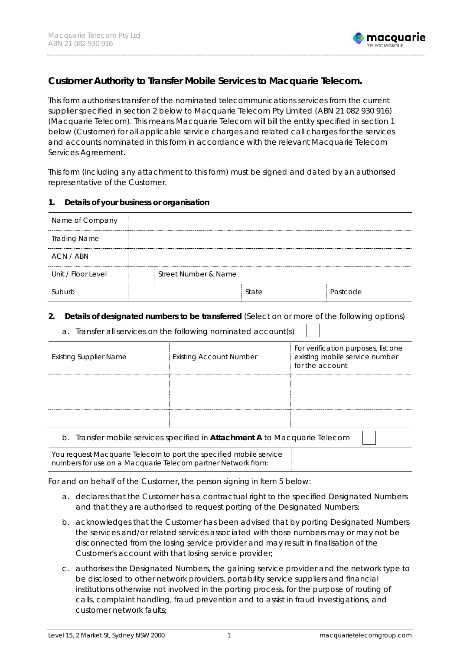

# **Customer Authority to Transfer Mobile Services to Macquarie Telecom.**

This form authorises transfer of the nominated telecommunications services from the current supplier specified in section 2 below to Macquarie Telecom Pty Limited (ABN 21 082 930 916) (Macquarie Telecom). This means Macquarie Telecom will bill the entity specified in section 1 below (Customer) for all applicable service charges and related call charges for the services and accounts nominated in this form in accordance with the relevant Macquarie Telecom Services Agreement.

This form (including any attachment to this form) must be signed and dated by an authorised representative of the Customer.

#### **1. Details of your business or organisation**

| Name of Company     |                      |       |          |
|---------------------|----------------------|-------|----------|
| <b>Trading Name</b> |                      |       |          |
| ACN / ABN           |                      |       |          |
| Unit / Floor Level  | Street Number & Name |       |          |
| Suburb              |                      | State | Postcode |

#### **2. Details of designated numbers to be transferred** (Select on or more of the following options)

|  |  | a. Transfer all services on the following nominated account(s) |  |
|--|--|----------------------------------------------------------------|--|
|  |  |                                                                |  |
|  |  |                                                                |  |

| <b>Existing Supplier Name</b>                                                                 | <b>Existing Account Number</b> | For verification purposes, list one<br>existing mobile service number<br>for the account |  |
|-----------------------------------------------------------------------------------------------|--------------------------------|------------------------------------------------------------------------------------------|--|
|                                                                                               |                                |                                                                                          |  |
|                                                                                               |                                |                                                                                          |  |
|                                                                                               |                                |                                                                                          |  |
| Transfer mobile services specified in <b>Attachment A</b> to Macquarie Telecom<br>$D_{\cdot}$ |                                |                                                                                          |  |

b. Transfer mobile services specified in **Attachment A** to Macquarie Telecom You request Macquarie Telecom to port the specified mobile service

numbers for use on a Macquarie Telecom partner Network from:

For and on behalf of the Customer, the person signing in Item 5 below:

- a. declares that the Customer has a contractual right to the specified Designated Numbers and that they are authorised to request porting of the Designated Numbers;
- b. acknowledges that the Customer has been advised that by porting Designated Numbers the services and/or related services associated with those numbers may or may not be disconnected from the losing service provider and may result in finalisation of the Customer's account with that losing service provider;
- c. authorises the Designated Numbers, the gaining service provider and the network type to be disclosed to other network providers, portability service suppliers and financial institutions otherwise not involved in the porting process, for the purpose of routing of calls, complaint handling, fraud prevention and to assist in fraud investigations, and customer network faults;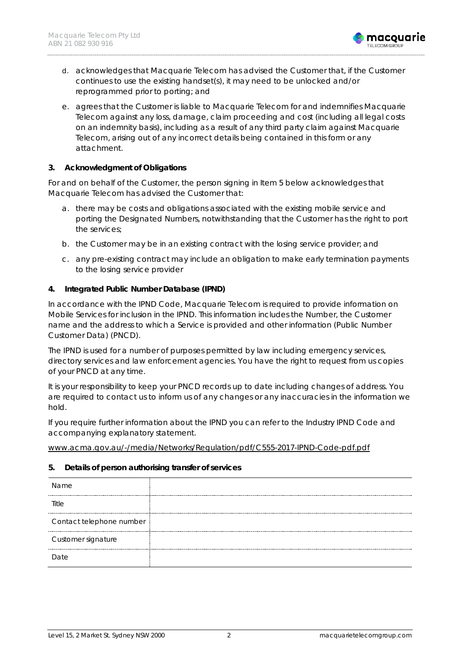

- d. acknowledges that Macquarie Telecom has advised the Customer that, if the Customer continues to use the existing handset(s), it may need to be unlocked and/or reprogrammed prior to porting; and
- e. agrees that the Customer is liable to Macquarie Telecom for and indemnifies Macquarie Telecom against any loss, damage, claim proceeding and cost (including all legal costs on an indemnity basis), including as a result of any third party claim against Macquarie Telecom, arising out of any incorrect details being contained in this form or any attachment.

### **3. Acknowledgment of Obligations**

For and on behalf of the Customer, the person signing in Item 5 below acknowledges that Macquarie Telecom has advised the Customer that:

- a. there may be costs and obligations associated with the existing mobile service and porting the Designated Numbers, notwithstanding that the Customer has the right to port the services;
- b. the Customer may be in an existing contract with the losing service provider; and
- c. any pre-existing contract may include an obligation to make early termination payments to the losing service provider

### **4. Integrated Public Number Database (IPND)**

In accordance with the IPND Code, Macquarie Telecom is required to provide information on Mobile Services for inclusion in the IPND. This information includes the Number, the Customer name and the address to which a Service is provided and other information (Public Number Customer Data) (PNCD).

The IPND is used for a number of purposes permitted by law including emergency services, directory services and law enforcement agencies. You have the right to request from us copies of your PNCD at any time.

It is your responsibility to keep your PNCD records up to date including changes of address. You are required to contact us to inform us of any changes or any inaccuracies in the information we hold.

If you require further information about the IPND you can refer to the Industry IPND Code and accompanying explanatory statement.

[www.acma.gov.au/-/media/Networks/Regulation/pdf/C555-2017-IPND-Code-pdf.pdf](http://www.acma.gov.au/-/media/Networks/Regulation/pdf/C555-2017-IPND-Code-pdf.pdf)

### **5. Details of person authorising transfer of services**

| Name                     |  |
|--------------------------|--|
| Title                    |  |
| Contact telephone number |  |
| Customer signature       |  |
| <b>Date</b>              |  |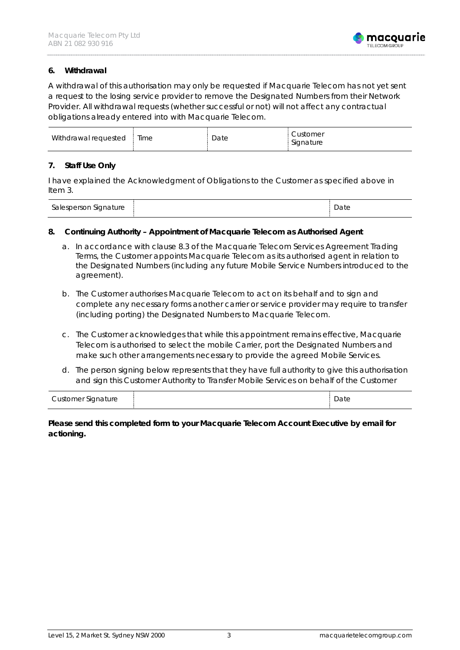

#### **6. Withdrawal**

A withdrawal of this authorisation may only be requested if Macquarie Telecom has not yet sent a request to the losing service provider to remove the Designated Numbers from their Network Provider. All withdrawal requests (whether successful or not) will not affect any contractual obligations already entered into with Macquarie Telecom.

| Withdrawal requested | Time | Date | Customer<br>Signature |
|----------------------|------|------|-----------------------|
|----------------------|------|------|-----------------------|

#### **7. Staff Use Only**

I have explained the Acknowledgment of Obligations to the Customer as specified above in Item 3.

| Salesperson Signature |  | Date<br>. |
|-----------------------|--|-----------|
|-----------------------|--|-----------|

#### **8. Continuing Authority – Appointment of Macquarie Telecom as Authorised Agent**

- a. In accordance with clause 8.3 of the Macquarie Telecom Services Agreement Trading Terms, the Customer appoints Macquarie Telecom as its authorised agent in relation to the Designated Numbers (including any future Mobile Service Numbers introduced to the agreement).
- b. The Customer authorises Macquarie Telecom to act on its behalf and to sign and complete any necessary forms another carrier or service provider may require to transfer (including porting) the Designated Numbers to Macquarie Telecom.
- c. The Customer acknowledges that while this appointment remains effective, Macquarie Telecom is authorised to select the mobile Carrier, port the Designated Numbers and make such other arrangements necessary to provide the agreed Mobile Services.
- d. The person signing below represents that they have full authority to give this authorisation and sign this Customer Authority to Transfer Mobile Services on behalf of the Customer

| Customer Signature |  | Date<br>_____ |
|--------------------|--|---------------|
|--------------------|--|---------------|

### **Please send this completed form to your Macquarie Telecom Account Executive by email for actioning.**